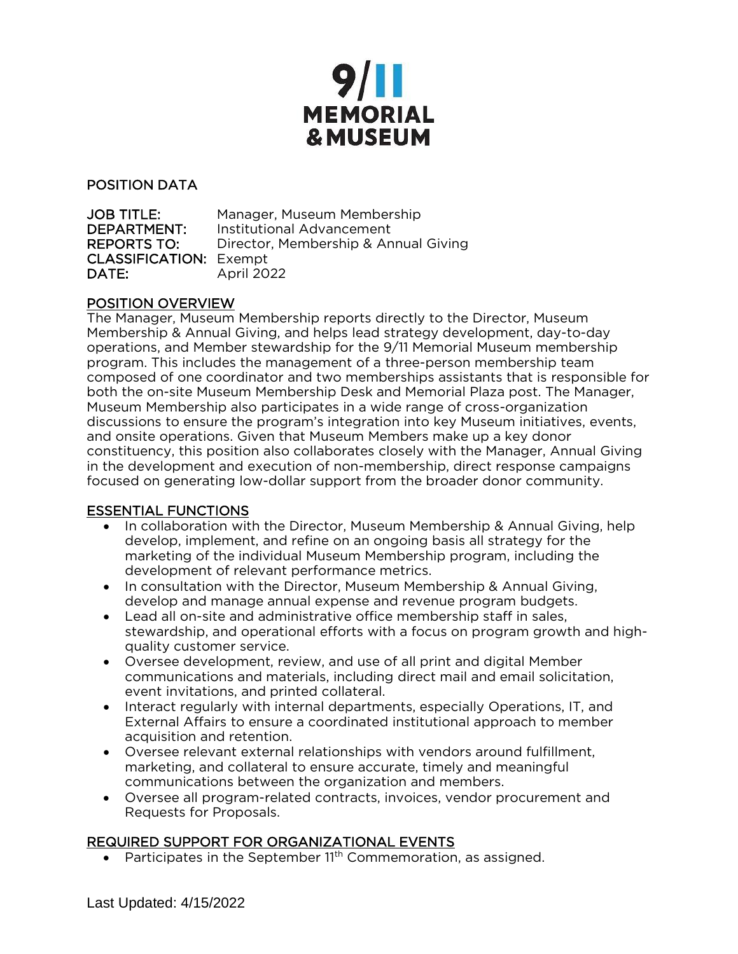

#### POSITION DATA

| <b>JOB TITLE:</b>             | Manager, Museum Membership           |
|-------------------------------|--------------------------------------|
| DEPARTMENT:                   | Institutional Advancement            |
| <b>REPORTS TO:</b>            | Director, Membership & Annual Giving |
| <b>CLASSIFICATION: Exempt</b> |                                      |
| DATE:                         | April 2022                           |

#### POSITION OVERVIEW

The Manager, Museum Membership reports directly to the Director, Museum Membership & Annual Giving, and helps lead strategy development, day-to-day operations, and Member stewardship for the 9/11 Memorial Museum membership program. This includes the management of a three-person membership team composed of one coordinator and two memberships assistants that is responsible for both the on-site Museum Membership Desk and Memorial Plaza post. The Manager, Museum Membership also participates in a wide range of cross-organization discussions to ensure the program's integration into key Museum initiatives, events, and onsite operations. Given that Museum Members make up a key donor constituency, this position also collaborates closely with the Manager, Annual Giving in the development and execution of non-membership, direct response campaigns focused on generating low-dollar support from the broader donor community.

## ESSENTIAL FUNCTIONS

- In collaboration with the Director, Museum Membership & Annual Giving, help develop, implement, and refine on an ongoing basis all strategy for the marketing of the individual Museum Membership program, including the development of relevant performance metrics.
- In consultation with the Director, Museum Membership & Annual Giving, develop and manage annual expense and revenue program budgets.
- Lead all on-site and administrative office membership staff in sales, stewardship, and operational efforts with a focus on program growth and highquality customer service.
- Oversee development, review, and use of all print and digital Member communications and materials, including direct mail and email solicitation, event invitations, and printed collateral.
- Interact regularly with internal departments, especially Operations, IT, and External Affairs to ensure a coordinated institutional approach to member acquisition and retention.
- Oversee relevant external relationships with vendors around fulfillment, marketing, and collateral to ensure accurate, timely and meaningful communications between the organization and members.
- Oversee all program-related contracts, invoices, vendor procurement and Requests for Proposals.

## REQUIRED SUPPORT FOR ORGANIZATIONAL EVENTS

• Participates in the September 11<sup>th</sup> Commemoration, as assigned.